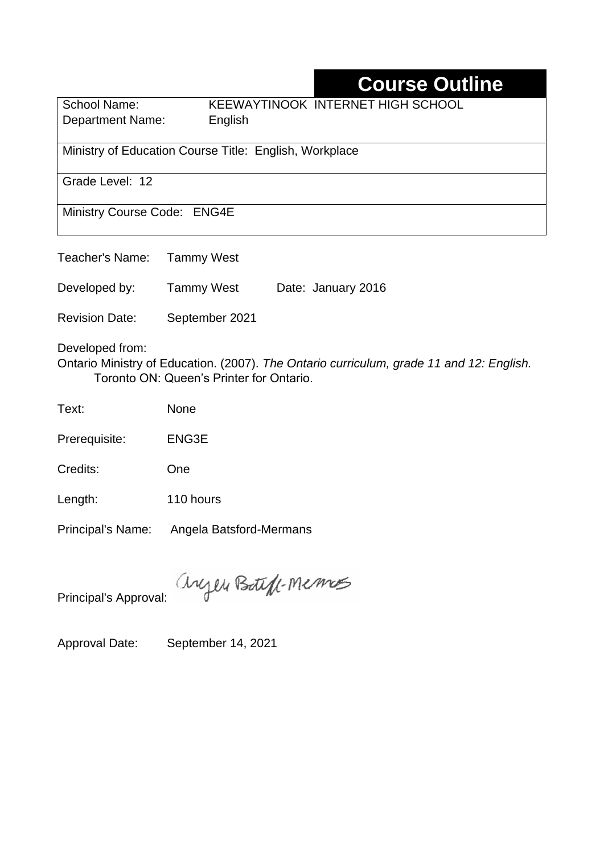# **Course Outline**

School Name: KEEWAYTINOOK INTERNET HIGH SCHOOL Department Name:English

Ministry of Education Course Title: English, Workplace

Grade Level: 12

Ministry Course Code: ENG4E

Teacher's Name: Tammy West

Developed by: Tammy West Date: January 2016

Revision Date: September 2021

Developed from:

Ontario Ministry of Education. (2007). *The Ontario curriculum, grade 11 and 12: English.*  Toronto ON: Queen's Printer for Ontario.

Text: None

Prerequisite: ENG3E

Credits: One

Length: 110 hours

Principal's Name: Angela Batsford-Mermans

anyen Boteff-Memos

Principal's Approval:

Approval Date: September 14, 2021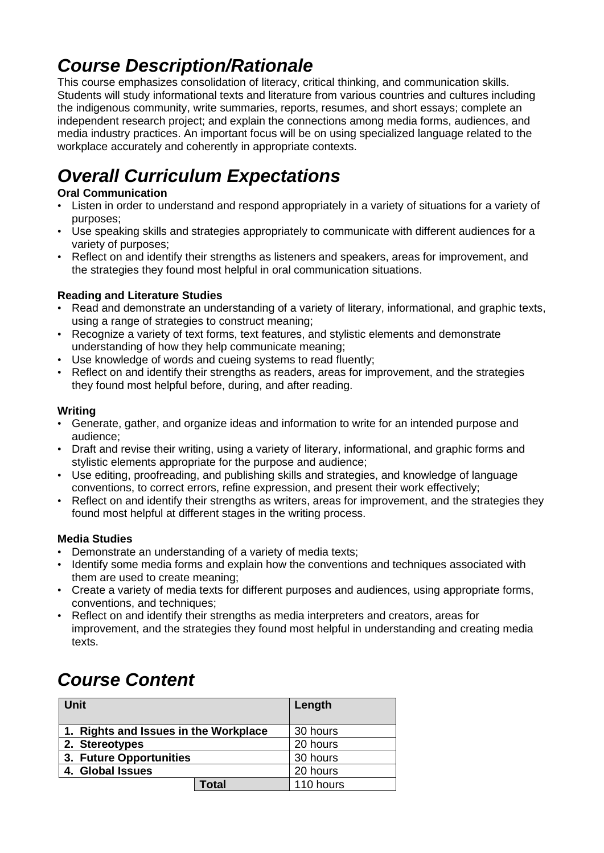## *Course Description/Rationale*

This course emphasizes consolidation of literacy, critical thinking, and communication skills. Students will study informational texts and literature from various countries and cultures including the indigenous community, write summaries, reports, resumes, and short essays; complete an independent research project; and explain the connections among media forms, audiences, and media industry practices. An important focus will be on using specialized language related to the workplace accurately and coherently in appropriate contexts.

# *Overall Curriculum Expectations*

### **Oral Communication**

- Listen in order to understand and respond appropriately in a variety of situations for a variety of purposes;
- Use speaking skills and strategies appropriately to communicate with different audiences for a variety of purposes;
- Reflect on and identify their strengths as listeners and speakers, areas for improvement, and the strategies they found most helpful in oral communication situations.

### **Reading and Literature Studies**

- Read and demonstrate an understanding of a variety of literary, informational, and graphic texts, using a range of strategies to construct meaning;
- Recognize a variety of text forms, text features, and stylistic elements and demonstrate understanding of how they help communicate meaning;
- Use knowledge of words and cueing systems to read fluently;
- Reflect on and identify their strengths as readers, areas for improvement, and the strategies they found most helpful before, during, and after reading.

#### **Writing**

- Generate, gather, and organize ideas and information to write for an intended purpose and audience;
- Draft and revise their writing, using a variety of literary, informational, and graphic forms and stylistic elements appropriate for the purpose and audience;
- Use editing, proofreading, and publishing skills and strategies, and knowledge of language conventions, to correct errors, refine expression, and present their work effectively;
- Reflect on and identify their strengths as writers, areas for improvement, and the strategies they found most helpful at different stages in the writing process.

#### **Media Studies**

- Demonstrate an understanding of a variety of media texts;
- Identify some media forms and explain how the conventions and techniques associated with them are used to create meaning;
- Create a variety of media texts for different purposes and audiences, using appropriate forms, conventions, and techniques;
- Reflect on and identify their strengths as media interpreters and creators, areas for improvement, and the strategies they found most helpful in understanding and creating media texts.

## *Course Content*

| <b>Unit</b>                           | Length    |
|---------------------------------------|-----------|
| 1. Rights and Issues in the Workplace | 30 hours  |
| 2. Stereotypes                        | 20 hours  |
| 3. Future Opportunities               | 30 hours  |
| 4. Global Issues                      | 20 hours  |
| Total                                 | 110 hours |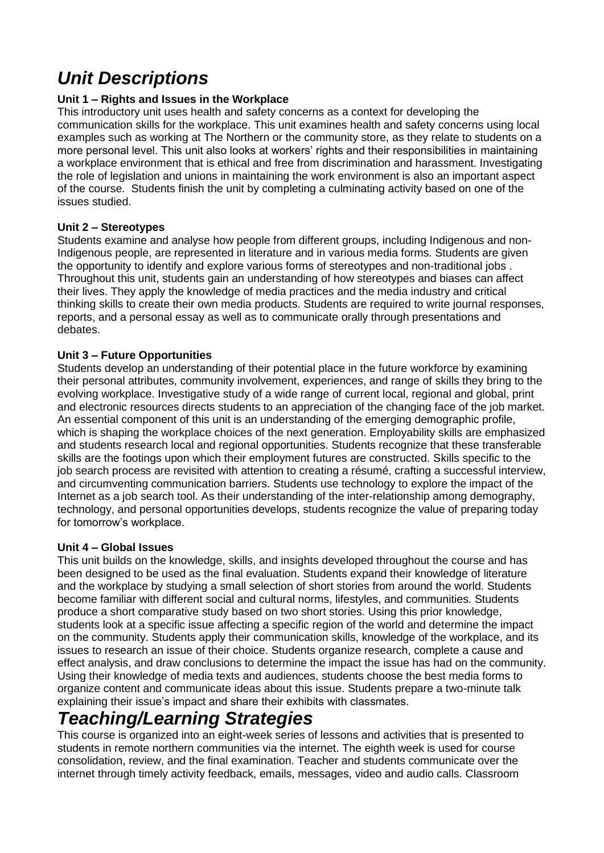# *Unit Descriptions*

#### **Unit 1 – Rights and Issues in the Workplace**

This introductory unit uses health and safety concerns as a context for developing the communication skills for the workplace. This unit examines health and safety concerns using local examples such as working at The Northern or the community store, as they relate to students on a more personal level. This unit also looks at workers' rights and their responsibilities in maintaining a workplace environment that is ethical and free from discrimination and harassment. Investigating the role of legislation and unions in maintaining the work environment is also an important aspect of the course. Students finish the unit by completing a culminating activity based on one of the issues studied.

#### **Unit 2 – Stereotypes**

Students examine and analyse how people from different groups, including Indigenous and non-Indigenous people, are represented in literature and in various media forms. Students are given the opportunity to identify and explore various forms of stereotypes and non-traditional jobs . Throughout this unit, students gain an understanding of how stereotypes and biases can affect their lives. They apply the knowledge of media practices and the media industry and critical thinking skills to create their own media products. Students are required to write journal responses, reports, and a personal essay as well as to communicate orally through presentations and debates.

#### **Unit 3 – Future Opportunities**

Students develop an understanding of their potential place in the future workforce by examining their personal attributes, community involvement, experiences, and range of skills they bring to the evolving workplace. Investigative study of a wide range of current local, regional and global, print and electronic resources directs students to an appreciation of the changing face of the job market. An essential component of this unit is an understanding of the emerging demographic profile, which is shaping the workplace choices of the next generation. Employability skills are emphasized and students research local and regional opportunities. Students recognize that these transferable skills are the footings upon which their employment futures are constructed. Skills specific to the job search process are revisited with attention to creating a résumé, crafting a successful interview, and circumventing communication barriers. Students use technology to explore the impact of the Internet as a job search tool. As their understanding of the inter-relationship among demography, technology, and personal opportunities develops, students recognize the value of preparing today for tomorrow's workplace.

#### **Unit 4 – Global Issues**

This unit builds on the knowledge, skills, and insights developed throughout the course and has been designed to be used as the final evaluation. Students expand their knowledge of literature and the workplace by studying a small selection of short stories from around the world. Students become familiar with different social and cultural norms, lifestyles, and communities. Students produce a short comparative study based on two short stories. Using this prior knowledge, students look at a specific issue affecting a specific region of the world and determine the impact on the community. Students apply their communication skills, knowledge of the workplace, and its issues to research an issue of their choice. Students organize research, complete a cause and effect analysis, and draw conclusions to determine the impact the issue has had on the community. Using their knowledge of media texts and audiences, students choose the best media forms to organize content and communicate ideas about this issue. Students prepare a two-minute talk explaining their issue's impact and share their exhibits with classmates.

## *Teaching/Learning Strategies*

This course is organized into an eight-week series of lessons and activities that is presented to students in remote northern communities via the internet. The eighth week is used for course consolidation, review, and the final examination. Teacher and students communicate over the internet through timely activity feedback, emails, messages, video and audio calls. Classroom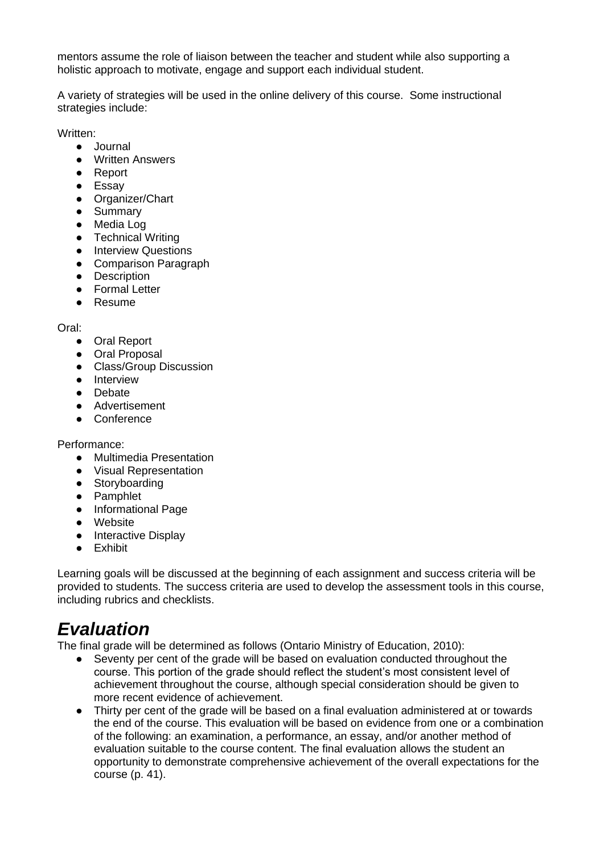mentors assume the role of liaison between the teacher and student while also supporting a holistic approach to motivate, engage and support each individual student.

A variety of strategies will be used in the online delivery of this course. Some instructional strategies include:

Written:

- Journal
- Written Answers
- Report
- Essay
- Organizer/Chart
- Summary
- Media Log
- Technical Writing
- Interview Questions
- Comparison Paragraph
- Description
- Formal Letter
- Resume

#### Oral:

- Oral Report
- Oral Proposal
- Class/Group Discussion
- Interview
- Debate
- Advertisement
- Conference

Performance:

- Multimedia Presentation
- Visual Representation
- Storyboarding
- Pamphlet
- Informational Page
- Website
- Interactive Display
- Exhibit

Learning goals will be discussed at the beginning of each assignment and success criteria will be provided to students. The success criteria are used to develop the assessment tools in this course, including rubrics and checklists.

## *Evaluation*

The final grade will be determined as follows (Ontario Ministry of Education, 2010):

- Seventy per cent of the grade will be based on evaluation conducted throughout the course. This portion of the grade should reflect the student's most consistent level of achievement throughout the course, although special consideration should be given to more recent evidence of achievement.
- Thirty per cent of the grade will be based on a final evaluation administered at or towards the end of the course. This evaluation will be based on evidence from one or a combination of the following: an examination, a performance, an essay, and/or another method of evaluation suitable to the course content. The final evaluation allows the student an opportunity to demonstrate comprehensive achievement of the overall expectations for the course (p. 41).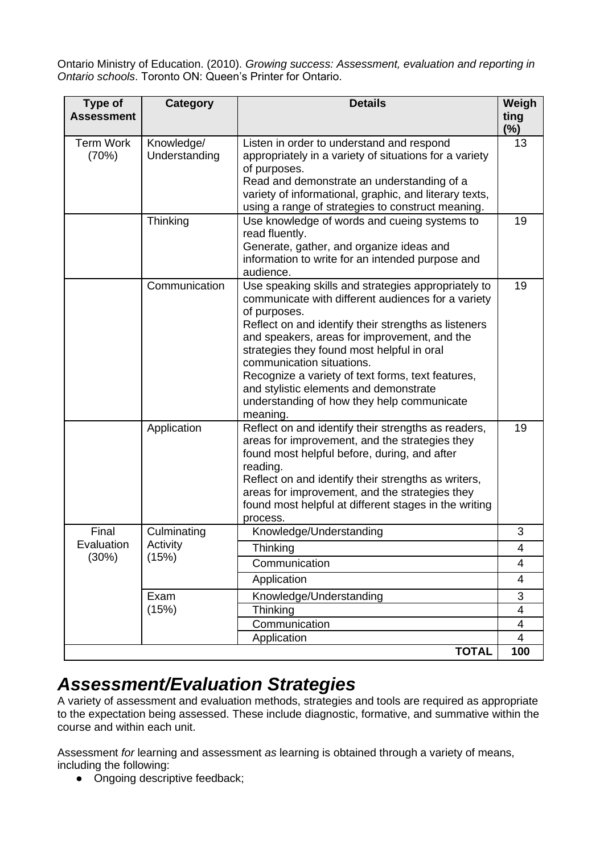Ontario Ministry of Education. (2010). *Growing success: Assessment, evaluation and reporting in Ontario schools*. Toronto ON: Queen's Printer for Ontario.

| <b>Type of</b><br><b>Assessment</b> | Category                    | <b>Details</b>                                                                                                                                                                                                                                                                                                                                                                                                                                                        | Weigh<br>ting  |
|-------------------------------------|-----------------------------|-----------------------------------------------------------------------------------------------------------------------------------------------------------------------------------------------------------------------------------------------------------------------------------------------------------------------------------------------------------------------------------------------------------------------------------------------------------------------|----------------|
|                                     |                             |                                                                                                                                                                                                                                                                                                                                                                                                                                                                       | $(\%)$         |
| <b>Term Work</b><br>(70%)           | Knowledge/<br>Understanding | Listen in order to understand and respond<br>appropriately in a variety of situations for a variety<br>of purposes.<br>Read and demonstrate an understanding of a<br>variety of informational, graphic, and literary texts,<br>using a range of strategies to construct meaning.                                                                                                                                                                                      | 13             |
|                                     | Thinking                    | Use knowledge of words and cueing systems to<br>read fluently.<br>Generate, gather, and organize ideas and<br>information to write for an intended purpose and<br>audience.                                                                                                                                                                                                                                                                                           | 19             |
|                                     | Communication               | Use speaking skills and strategies appropriately to<br>communicate with different audiences for a variety<br>of purposes.<br>Reflect on and identify their strengths as listeners<br>and speakers, areas for improvement, and the<br>strategies they found most helpful in oral<br>communication situations.<br>Recognize a variety of text forms, text features,<br>and stylistic elements and demonstrate<br>understanding of how they help communicate<br>meaning. | 19             |
|                                     | Application                 | Reflect on and identify their strengths as readers,<br>areas for improvement, and the strategies they<br>found most helpful before, during, and after<br>reading.<br>Reflect on and identify their strengths as writers,<br>areas for improvement, and the strategies they<br>found most helpful at different stages in the writing<br>process.                                                                                                                       | 19             |
| Final                               | Culminating                 | Knowledge/Understanding                                                                                                                                                                                                                                                                                                                                                                                                                                               | 3              |
| Evaluation                          | Activity                    | Thinking                                                                                                                                                                                                                                                                                                                                                                                                                                                              | 4              |
| (30%)                               | (15%)                       | Communication                                                                                                                                                                                                                                                                                                                                                                                                                                                         | 4              |
|                                     |                             | Application                                                                                                                                                                                                                                                                                                                                                                                                                                                           | 4              |
|                                     | Exam<br>(15%)               | Knowledge/Understanding                                                                                                                                                                                                                                                                                                                                                                                                                                               | 3              |
|                                     |                             | Thinking                                                                                                                                                                                                                                                                                                                                                                                                                                                              | 4              |
|                                     |                             | Communication                                                                                                                                                                                                                                                                                                                                                                                                                                                         | $\overline{4}$ |
|                                     |                             | Application                                                                                                                                                                                                                                                                                                                                                                                                                                                           | 4              |
|                                     |                             | <b>TOTAL</b>                                                                                                                                                                                                                                                                                                                                                                                                                                                          | 100            |

## *Assessment/Evaluation Strategies*

A variety of assessment and evaluation methods, strategies and tools are required as appropriate to the expectation being assessed. These include diagnostic, formative, and summative within the course and within each unit.

Assessment *for* learning and assessment *as* learning is obtained through a variety of means, including the following:

• Ongoing descriptive feedback;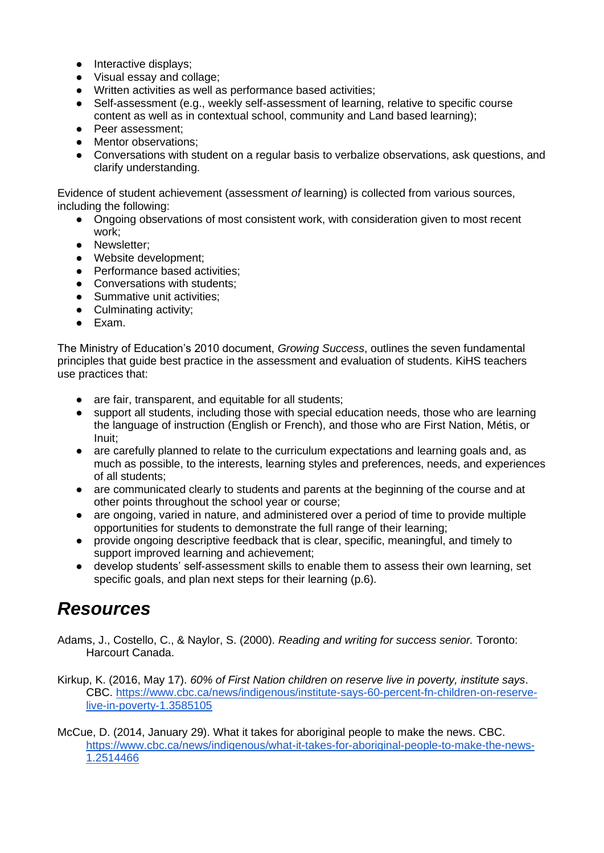- Interactive displays;
- Visual essay and collage;
- Written activities as well as performance based activities;
- Self-assessment (e.g., weekly self-assessment of learning, relative to specific course content as well as in contextual school, community and Land based learning);
- Peer assessment;
- Mentor observations:
- Conversations with student on a regular basis to verbalize observations, ask questions, and clarify understanding.

Evidence of student achievement (assessment *of* learning) is collected from various sources, including the following:

- Ongoing observations of most consistent work, with consideration given to most recent work;
- Newsletter;
- Website development;
- Performance based activities;
- Conversations with students;
- Summative unit activities;
- Culminating activity;
- Exam.

The Ministry of Education's 2010 document, *Growing Success*, outlines the seven fundamental principles that guide best practice in the assessment and evaluation of students. KiHS teachers use practices that:

- are fair, transparent, and equitable for all students;
- support all students, including those with special education needs, those who are learning the language of instruction (English or French), and those who are First Nation, Métis, or Inuit;
- are carefully planned to relate to the curriculum expectations and learning goals and, as much as possible, to the interests, learning styles and preferences, needs, and experiences of all students;
- are communicated clearly to students and parents at the beginning of the course and at other points throughout the school year or course;
- are ongoing, varied in nature, and administered over a period of time to provide multiple opportunities for students to demonstrate the full range of their learning;
- provide ongoing descriptive feedback that is clear, specific, meaningful, and timely to support improved learning and achievement;
- develop students' self-assessment skills to enable them to assess their own learning, set specific goals, and plan next steps for their learning (p.6).

## *Resources*

- Adams, J., Costello, C., & Naylor, S. (2000). *Reading and writing for success senior.* Toronto: Harcourt Canada.
- Kirkup, K. (2016, May 17). *60% of First Nation children on reserve live in poverty, institute says*. CBC. [https://www.cbc.ca/news/indigenous/institute-says-60-percent-fn-children-on-reserve](https://www.cbc.ca/news/indigenous/institute-says-60-percent-fn-children-on-reserve-live-in-poverty-1.3585105)[live-in-poverty-1.3585105](https://www.cbc.ca/news/indigenous/institute-says-60-percent-fn-children-on-reserve-live-in-poverty-1.3585105)
- McCue, D. (2014, January 29). What it takes for aboriginal people to make the news. CBC. [https://www.cbc.ca/news/indigenous/what-it-takes-for-aboriginal-people-to-make-the-news-](https://www.cbc.ca/news/indigenous/what-it-takes-for-aboriginal-people-to-make-the-news-1.2514466)[1.2514466](https://www.cbc.ca/news/indigenous/what-it-takes-for-aboriginal-people-to-make-the-news-1.2514466)